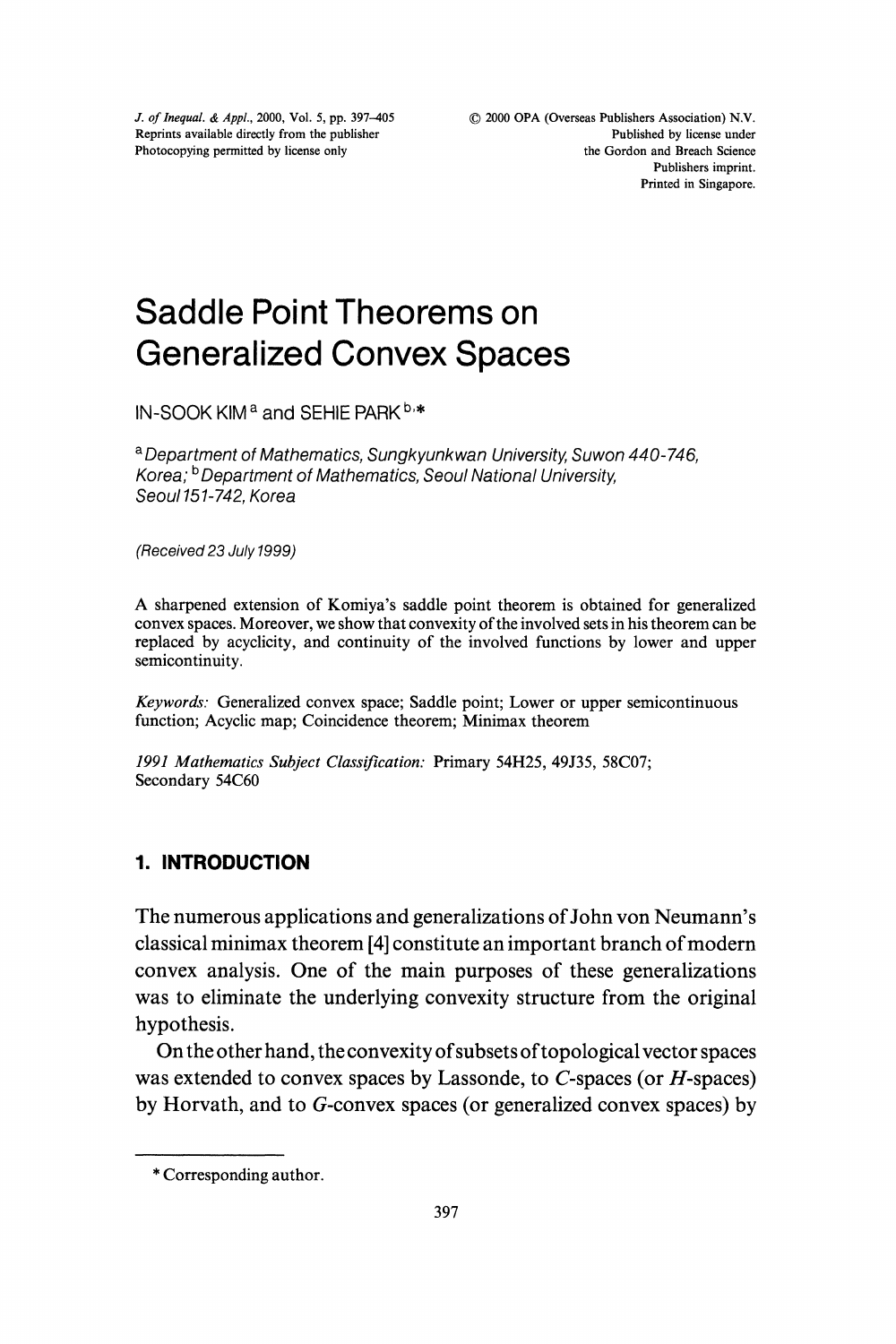J. of lnequal. & Appl., 2000, Vol. 5, pp. 397-405 Reprints available directly from the publisher Photocopying permitted by license only

# Saddle Point Theorems on Generalized Convex Spaces

IN-SOOK KIM<sup>a</sup> and SEHIE PARK <sup>b,</sup>\*

<sup>a</sup> Department of Mathematics, Sungkyunkwan University, Suwon 440-746, Korea; <sup>b</sup> Department of Mathematics, Seoul National University, Seou1151-742, Korea

(Received 23 July 1999)

A sharpened extension of Komiya's saddle point theorem is obtained for generalized convex spaces. Moreover, we show that convexity of the involved sets in his theorem can be replaced by acyclicity, and continuity of the involved functions by lower and upper semicontinuity.

Keywords: Generalized convex space; Saddle point; Lower or upper semicontinuous function; Acyclic map; Coincidence theorem; Minimax theorem

1991 Mathematics Subject Classification: Primary 54H25, 49J35, 58C07; Secondary 54C60

## 1. INTRODUCTION

The numerous applications and generalizations of John von Neumann's classical minimax theorem [4] constitute an important branch of modern convex analysis. One of the main purposes of these generalizations was to eliminate the underlying convexity structure from the original hypothesis.

Onthe other hand, the convexity ofsubsets oftopological vector spaces was extended to convex spaces by Lassonde, to C-spaces (or H-spaces) by Horvath, and to G-convex spaces (or generalized convex spaces) by

<sup>\*</sup> Corresponding author.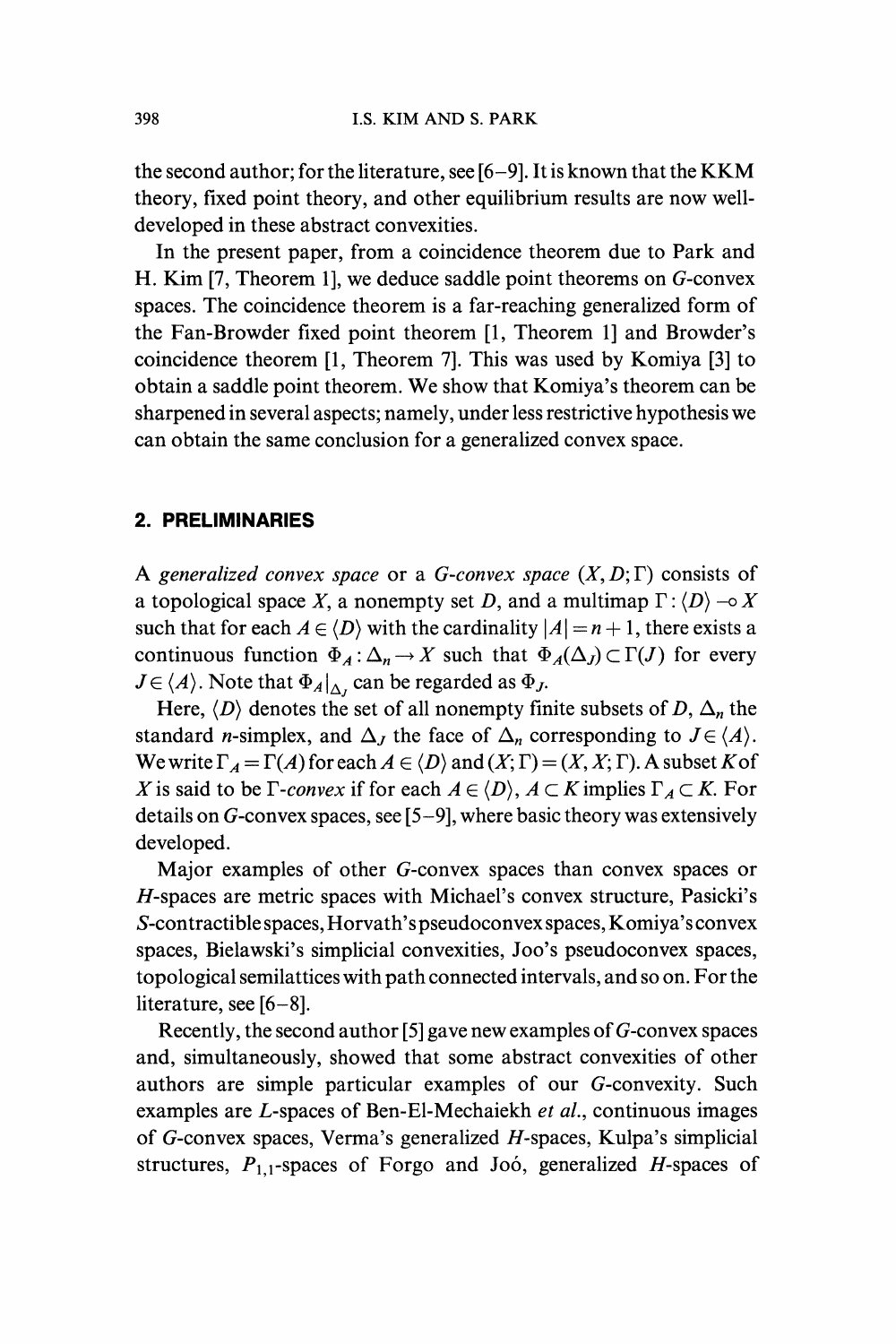the second author; for the literature, see [6-9]. It is known that the KKM theory, fixed point theory, and other equilibrium results are now welldeveloped in these abstract convexities.

In the present paper, from a coincidence theorem due to Park and H. Kim [7, Theorem 1], we deduce saddle point theorems on G-convex spaces. The coincidence theorem is a far-reaching generalized form of the Fan-Browder fixed point theorem [1, Theorem 1] and Browder's coincidence theorem [1, Theorem 7]. This was used by Komiya [3] to obtain <sup>a</sup> saddle point theorem. We show that Komiya's theorem can be sharpened in several aspects; namely, under less restrictive hypothesis we can obtain the same conclusion for a generalized convex space.

#### 2. PRELIMINARIES

A generalized convex space or a G-convex space  $(X, D; \Gamma)$  consists of a topological space X, a nonempty set D, and a multimap  $\Gamma$ :  $\langle D \rangle$  - $\sim$  X such that for each  $A \in \langle D \rangle$  with the cardinality  $|A| = n + 1$ , there exists a continuous function  $\Phi_A: \Delta_n \to X$  such that  $\Phi_A(\Delta_J) \subset \Gamma(J)$  for every  $J \in \langle A \rangle$ . Note that  $\Phi_A |_{\Lambda}$  can be regarded as  $\Phi_J$ .

Here,  $\langle D \rangle$  denotes the set of all nonempty finite subsets of D,  $\Delta_n$  the standard *n*-simplex, and  $\Delta_I$  the face of  $\Delta_n$  corresponding to  $J \in \langle A \rangle$ . We write  $\Gamma_A = \Gamma(A)$  for each  $A \in \langle D \rangle$  and  $(X; \Gamma) = (X, X; \Gamma)$ . A subset K of X is said to be  $\Gamma$ -convex if for each  $A \in \langle D \rangle$ ,  $A \subset K$  implies  $\Gamma_A \subset K$ . For details on G-convex spaces, see [5-9], where basic theory was extensively developed.

Major examples of other G-convex spaces than convex spaces or H-spaces are metric spaces with Michael's convex structure, Pasicki's S-contractible spaces, Horvath's pseudoconvex spaces, Komiya's convex spaces, Bielawski's simplicial convexities, Joo's pseudoconvex spaces, topological semilattices with path connected intervals, and so on. For the literature, see [6-8].

Recently, the second author [5] gave new examples of G-convex spaces and, simultaneously, showed that some abstract convexities of other authors are simple particular examples of our G-convexity. Such examples are L-spaces of Ben-El-Mechaiekh et al., continuous images of G-convex spaces, Verma's generalized H-spaces, Kulpa's simplicial structures,  $P_{1,1}$ -spaces of Forgo and Joó, generalized H-spaces of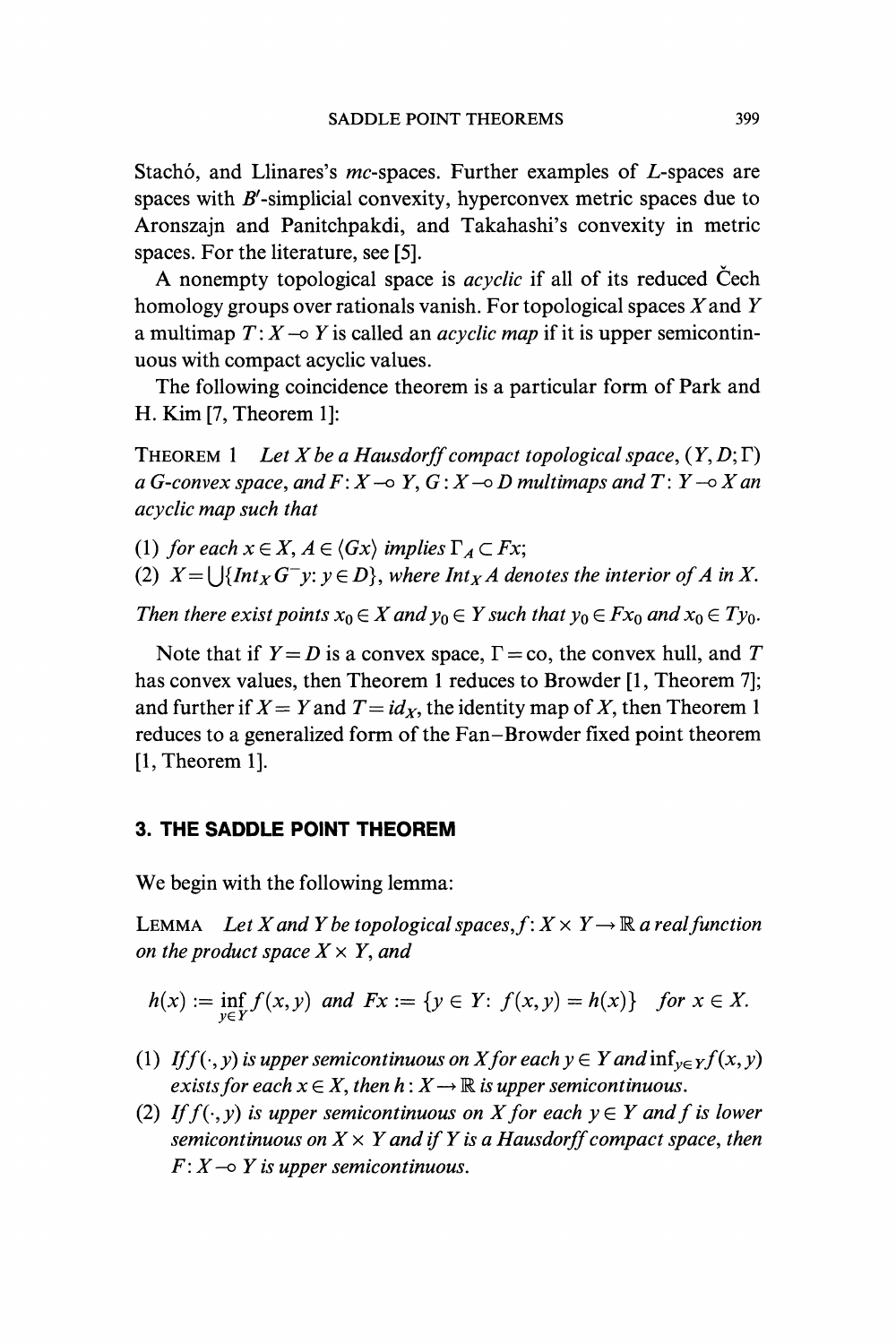Stachó, and Llinares's mc-spaces. Further examples of  $L$ -spaces are spaces with  $B'$ -simplicial convexity, hyperconvex metric spaces due to Aronszajn and Panitchpakdi, and Takahashi's convexity in metric spaces. For the literature, see [5].

A nonempty topological space is *acyclic* if all of its reduced Cech homology groups over rationals vanish. For topological spaces  $X$  and  $Y$ a multimap  $T: X \rightarrow Y$  is called an *acyclic map* if it is upper semicontinuous with compact acyclic values.

The following coincidence theorem is a particular form of Park and H. Kim [7, Theorem 1]:

THEOREM 1 Let X be a Hausdorff compact topological space,  $(Y, D; \Gamma)$ a G-convex space, and  $F: X \to Y$ ,  $G: X \to D$  multimaps and  $T: Y \to X$  an acyclic map such that

(1) for each  $x \in X$ ,  $A \in \langle Gx \rangle$  implies  $\Gamma_A \subset Fx$ ;

(2)  $X = \frac{1}{1}$   $\{Int_X G^-y: y \in D\}$ , where  $Int_X A$  denotes the interior of A in X.

Then there exist points  $x_0 \in X$  and  $y_0 \in Y$  such that  $y_0 \in Fx_0$  and  $x_0 \in Ty_0$ .

Note that if  $Y = D$  is a convex space,  $\Gamma = \infty$ , the convex hull, and T has convex values, then Theorem 1 reduces to Browder  $[1,$  Theorem 7]; and further if  $X = Y$  and  $T = id_X$ , the identity map of X, then Theorem 1 reduces to a generalized form of the Fan-Browder fixed point theorem  $[1,$  Theorem 1].

### 3. THE SADDLE POINT THEOREM

We begin with the following lemma:

LEMMA Let X and Y be topological spaces,  $f: X \times Y \rightarrow \mathbb{R}$  a real function on the product space  $X \times Y$ , and

$$
h(x) := \inf_{y \in Y} f(x, y)
$$
 and  $Fx := \{y \in Y : f(x, y) = h(x)\}$  for  $x \in X$ .

- (1) If  $f(\cdot, y)$  is upper semicontinuous on X for each  $y \in Y$  and  $\inf_{y \in Y} f(x, y)$ exists for each  $x \in X$ , then  $h: X \to \mathbb{R}$  is upper semicontinuous.
- (2) If  $f(\cdot, y)$  is upper semicontinuous on X for each  $y \in Y$  and f is lower semicontinuous on  $X \times Y$  and if Y is a Hausdorff compact space, then  $F: X \rightarrow Y$  is upper semicontinuous.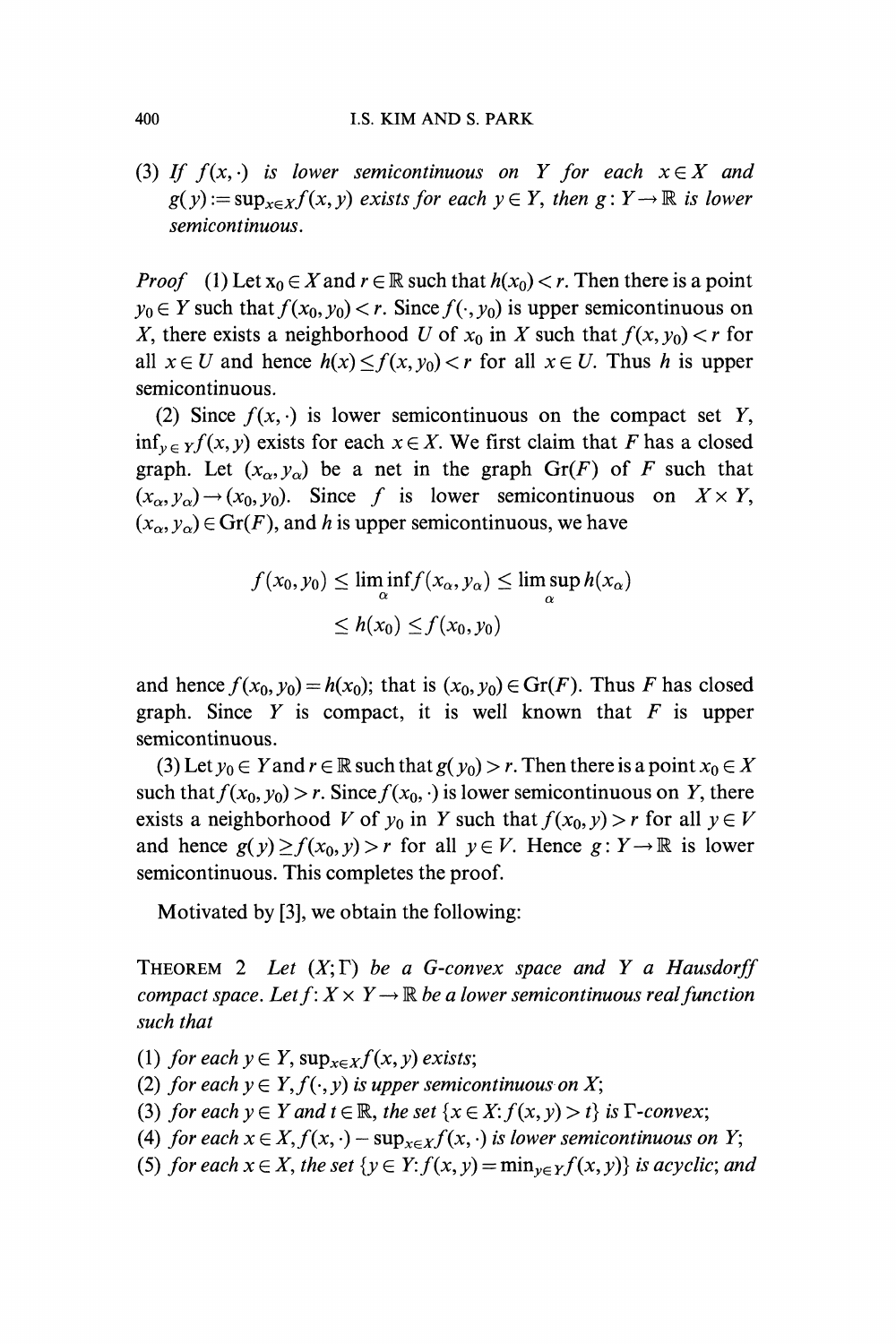(3) If  $f(x, \cdot)$  is lower semicontinuous on Y for each  $x \in X$  and  $g(y) := \sup_{x \in X} f(x, y)$  exists for each  $y \in Y$ , then  $g: Y \to \mathbb{R}$  is lower semicontinuous.

*Proof* (1) Let  $x_0 \in X$  and  $r \in \mathbb{R}$  such that  $h(x_0) < r$ . Then there is a point  $y_0 \in Y$  such that  $f(x_0, y_0) < r$ . Since  $f(\cdot, y_0)$  is upper semicontinuous on X, there exists a neighborhood U of  $x_0$  in X such that  $f(x, y_0) < r$  for all  $x \in U$  and hence  $h(x) \le f(x, y_0) < r$  for all  $x \in U$ . Thus h is upper semicontinuous.

(2) Since  $f(x, \cdot)$  is lower semicontinuous on the compact set Y,  $inf_{y \in Y}f(x, y)$  exists for each  $x \in X$ . We first claim that F has a closed graph. Let  $(x_0, y_0)$  be a net in the graph  $Gr(F)$  of F such that  $(x_{\alpha},y_{\alpha}) \rightarrow (x_0,y_0)$ . Since f is lower semicontinuous on  $X \times Y$ ,  $(x_{\alpha}, y_{\alpha}) \in \text{Gr}(F)$ , and h is upper semicontinuous, we have

$$
f(x_0, y_0) \le \liminf_{\alpha} f(x_\alpha, y_\alpha) \le \limsup_{\alpha} h(x_\alpha)
$$
  

$$
\le h(x_0) \le f(x_0, y_0)
$$

and hence  $f(x_0, y_0) = h(x_0)$ ; that is  $(x_0, y_0) \in \text{Gr}(F)$ . Thus F has closed graph. Since Y is compact, it is well known that  $F$  is upper semicontinuous.

(3) Let  $y_0 \in Y$  and  $r \in \mathbb{R}$  such that  $g(y_0) > r$ . Then there is a point  $x_0 \in X$ such that  $f(x_0, y_0) > r$ . Since  $f(x_0, \cdot)$  is lower semicontinuous on Y, there exists a neighborhood V of  $y_0$  in Y such that  $f(x_0, y) > r$  for all  $y \in V$ and hence  $g(y) \ge f(x_0, y) > r$  for all  $y \in V$ . Hence  $g: Y \to \mathbb{R}$  is lower semicontinuous. This completes the proof.

Motivated by [3], we obtain the following:

THEOREM 2 Let  $(X; \Gamma)$  be a G-convex space and Y a Hausdorff compact space. Let  $f: X \times Y \to \mathbb{R}$  be a lower semicontinuous real function such that

- (1) for each  $y \in Y$ ,  $\sup_{x \in X} f(x, y)$  exists;
- (2) for each  $y \in Y$ ,  $f(\cdot, y)$  is upper semicontinuous on X;
- (3) for each  $y \in Y$  and  $t \in \mathbb{R}$ , the set  $\{x \in X : f(x, y) > t\}$  is  $\Gamma$ -convex;
- (4) for each  $x \in X$ ,  $f(x, \cdot) \sup_{x \in X} f(x, \cdot)$  is lower semicontinuous on Y;
- (5) for each  $x \in X$ , the set  $\{y \in Y: f(x, y) = \min_{y \in Y} f(x, y)\}$  is acyclic; and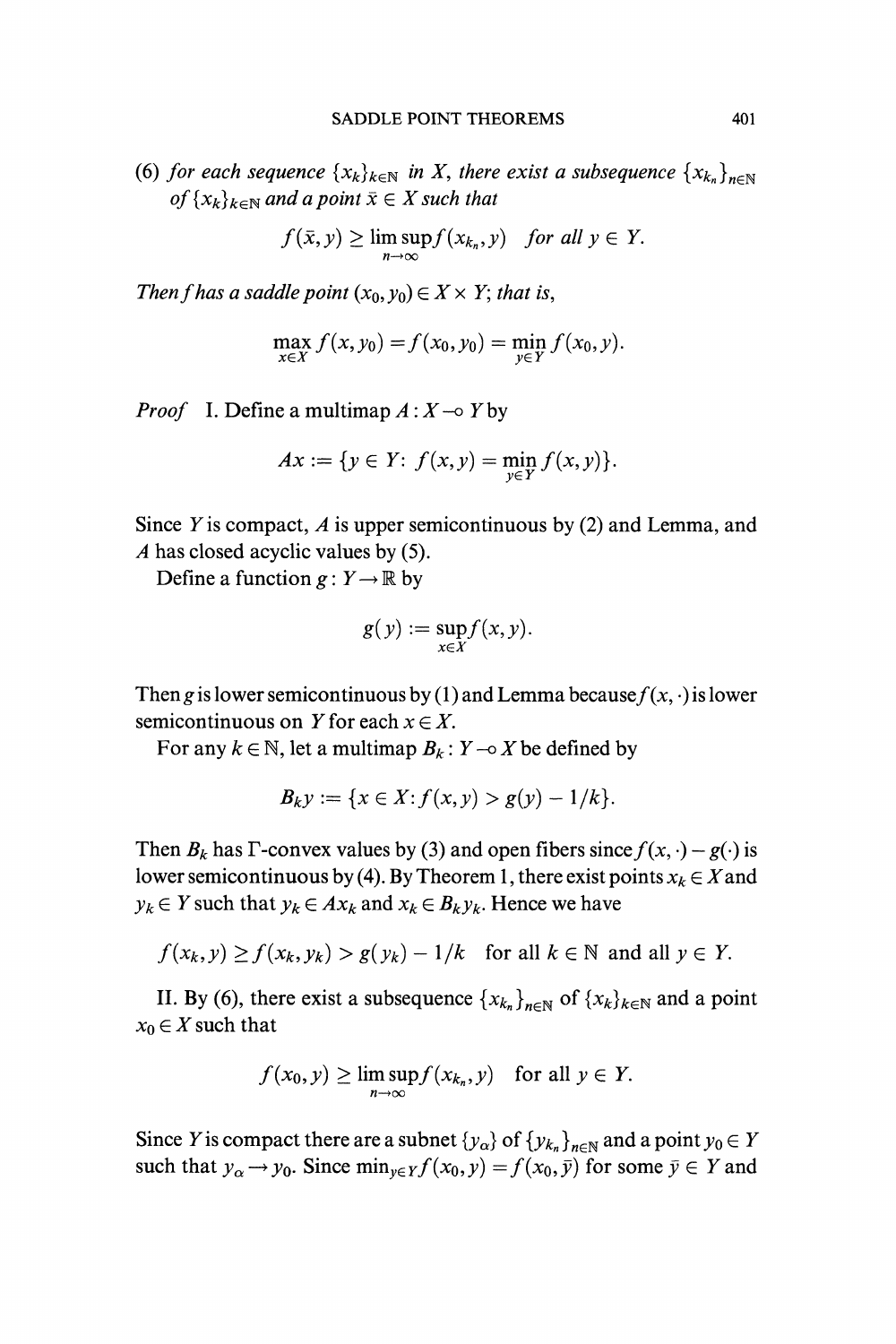(6) for each sequence  $\{x_k\}_{k\in\mathbb{N}}$  in X, there exist a subsequence  $\{x_{k_n}\}_{n\in\mathbb{N}}$ of  $\{x_k\}_{k\in\mathbb{N}}$  and a point  $\bar{x}\in X$  such that

$$
f(\bar{x}, y) \ge \limsup_{n \to \infty} f(x_{k_n}, y) \quad \text{for all } y \in Y.
$$

Then f has a saddle point  $(x_0, y_0) \in X \times Y$ ; that is,

$$
\max_{x \in X} f(x, y_0) = f(x_0, y_0) = \min_{y \in Y} f(x_0, y).
$$

*Proof* I. Define a multimap  $A: X \rightarrow Y$  by

$$
Ax := \{ y \in Y : f(x, y) = \min_{y \in Y} f(x, y) \}.
$$

Since  $Y$  is compact,  $A$  is upper semicontinuous by (2) and Lemma, and A has closed acyclic values by (5).

Define a function  $g: Y \to \mathbb{R}$  by

$$
g(y) := \sup_{x \in X} f(x, y).
$$

Then g is lower semicontinuous by (1) and Lemma because  $f(x, \cdot)$  is lower semicontinuous on Y for each  $x \in X$ .

For any  $k \in \mathbb{N}$ , let a multimap  $B_k: Y \rightarrow Y$  be defined by

$$
B_k y := \{x \in X : f(x, y) > g(y) - 1/k\}.
$$

Then  $B_k$  has  $\Gamma$ -convex values by (3) and open fibers since  $f(x, \cdot) - g(\cdot)$  is lower semicontinuous by (4). By Theorem 1, there exist points  $x_k \in X$  and  $y_k \in Y$  such that  $y_k \in Ax_k$  and  $x_k \in B_k y_k$ . Hence we have

$$
f(x_k, y) \ge f(x_k, y_k) > g(y_k) - 1/k
$$
 for all  $k \in \mathbb{N}$  and all  $y \in Y$ .

II. By (6), there exist a subsequence  ${x_{k_n}}_{n \in \mathbb{N}}$  of  ${x_k}_{k \in \mathbb{N}}$  and a point  $x_0 \in X$  such that

$$
f(x_0, y) \ge \limsup_{n \to \infty} f(x_{k_n}, y) \quad \text{for all } y \in Y.
$$

Since Y is compact there are a subnet  $\{y_\alpha\}$  of  $\{y_{k_n}\}_{n\in\mathbb{N}}$  and a point  $y_0 \in Y$ such that  $y_{\alpha} \rightarrow y_0$ . Since  $\min_{y \in Y} f(x_0, y) = f(x_0, \bar{y})$  for some  $\bar{y} \in Y$  and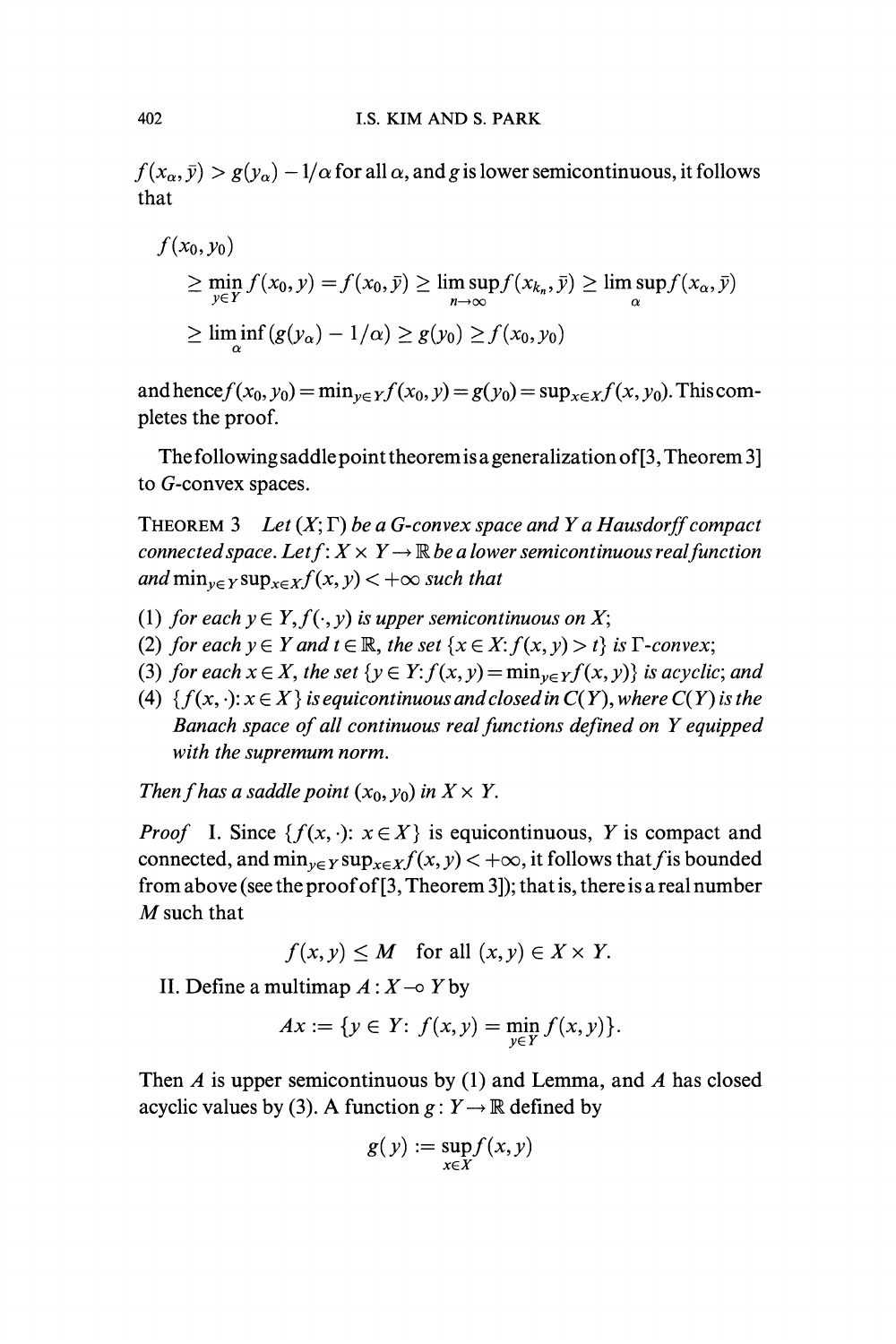$f(x_{\alpha}, \bar{y}) > g(y_{\alpha}) - 1/\alpha$  for all  $\alpha$ , and g is lower semicontinuous, it follows that

$$
f(x_0, y_0)
$$
  
\n
$$
\geq \min_{y \in Y} f(x_0, y) = f(x_0, \bar{y}) \geq \limsup_{n \to \infty} f(x_{k_n}, \bar{y}) \geq \limsup_{\alpha} f(x_{\alpha}, \bar{y})
$$
  
\n
$$
\geq \liminf_{\alpha} (g(y_{\alpha}) - 1/\alpha) \geq g(y_0) \geq f(x_0, y_0)
$$

and hence  $f(x_0, y_0) = \min_{y \in Y} f(x_0, y) = g(y_0) = \sup_{x \in X} f(x, y_0)$ . This completes the proof.

The following saddle point theoremis a generalization of[3, Theorem 3] to G-convex spaces.

THEOREM 3 Let  $(X; \Gamma)$  be a G-convex space and Y a Hausdorff compact connected space. Let  $f: X \times Y \to \mathbb{R}$  be a lower semicontinuous real function and  $\min_{y \in Y} \sup_{x \in X} f(x, y) < +\infty$  such that

- (1) for each  $y \in Y, f(\cdot, y)$  is upper semicontinuous on X;
- (2) for each  $y \in Y$  and  $t \in \mathbb{R}$ , the set  $\{x \in X: f(x, y) > t\}$  is  $\Gamma$ -convex;
- (3) for each  $x \in X$ , the set  $\{y \in Y: f(x, y) = min_{y \in Y} f(x, y)\}$  is acyclic; and
- (4)  $\{f(x, \cdot): x \in X\}$  is equicontinuous and closed in  $C(Y)$ , where  $C(Y)$  is the Banach space of all continuous real functions defined on Y equipped with the supremum norm.

Then f has a saddle point  $(x_0, y_0)$  in  $X \times Y$ .

*Proof* I. Since  $\{f(x, \cdot): x \in X\}$  is equicontinuous, Y is compact and connected, and  $\min_{y \in Y} \sup_{x \in X} f(x, y) < +\infty$ , it follows that f is bounded from above (see the proofof[3, Theorem 3]); that is, there is a real number  $M$  such that

 $f(x, y) \leq M$  for all  $(x, y) \in X \times Y$ .

II. Define a multimap  $A: X \rightarrow Y$  by

$$
Ax := \{ y \in Y : f(x, y) = \min_{y \in Y} f(x, y) \}.
$$

Then A is upper semicontinuous by  $(1)$  and Lemma, and A has closed acyclic values by (3). A function  $g: Y \rightarrow \mathbb{R}$  defined by

$$
g(y) := \sup_{x \in X} f(x, y)
$$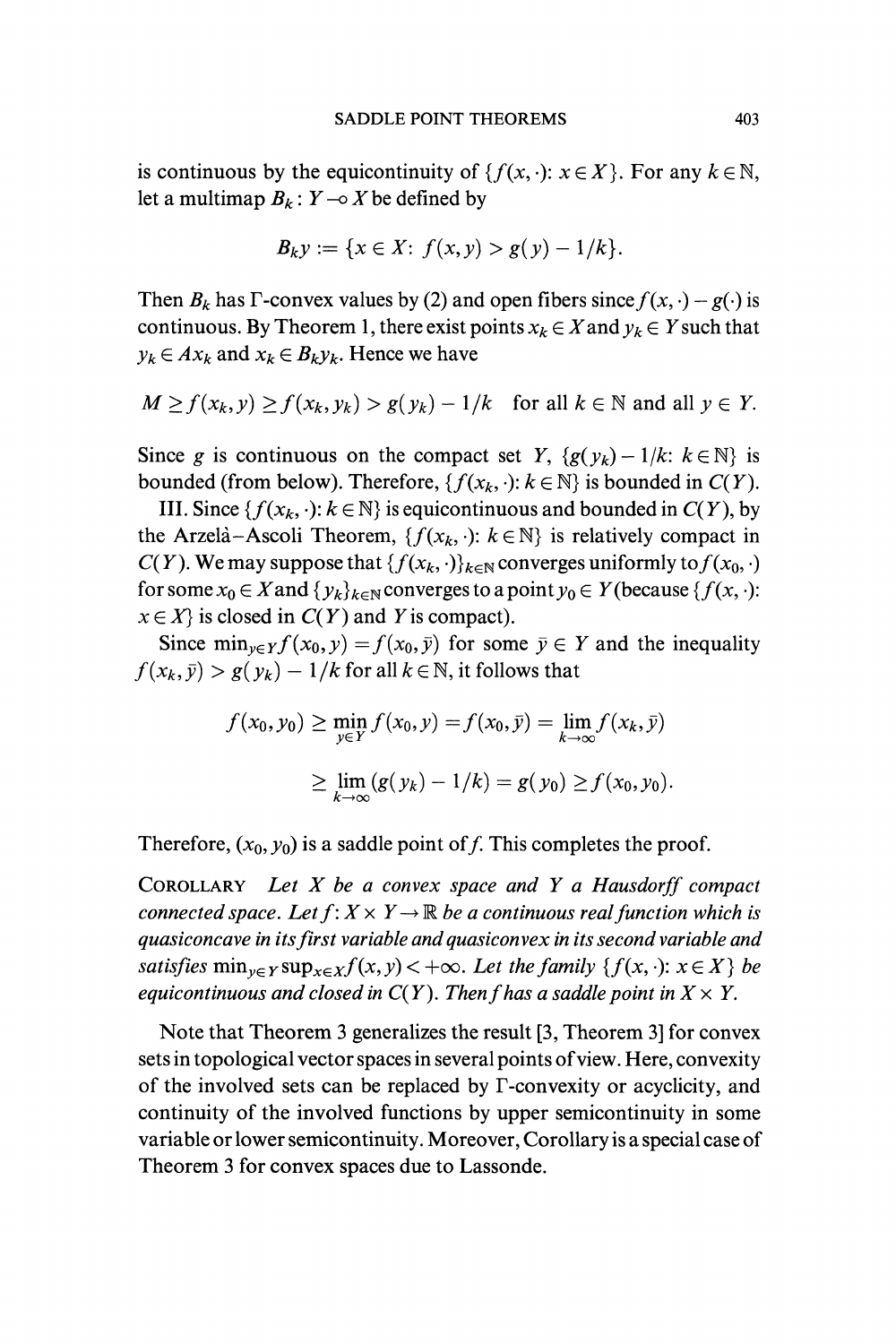is continuous by the equicontinuity of  $\{f(x, \cdot): x \in X\}$ . For any  $k \in \mathbb{N}$ , let a multimap  $B_k: Y \rightarrow Y$  be defined by

$$
B_k y := \{ x \in X : f(x, y) > g(y) - 1/k \}.
$$

Then  $B_k$  has  $\Gamma$ -convex values by (2) and open fibers since  $f(x, \cdot) - g(\cdot)$  is continuous. By Theorem 1, there exist points  $x_k \in X$  and  $y_k \in Y$  such that  $y_k \in Ax_k$  and  $x_k \in B_ky_k$ . Hence we have

$$
M \ge f(x_k, y) \ge f(x_k, y_k) > g(y_k) - 1/k \quad \text{for all } k \in \mathbb{N} \text{ and all } y \in Y.
$$

Since g is continuous on the compact set Y,  $\{g(y_k)-1/k: k \in \mathbb{N}\}\$ is bounded (from below). Therefore,  $\{f(x_k, \cdot): k \in \mathbb{N}\}\)$  is bounded in  $C(Y)$ .

III. Since  $\{f(x_k, \cdot) : k \in \mathbb{N}\}\$ is equicontinuous and bounded in  $C(Y)$ , by the Arzelà-Ascoli Theorem,  $\{f(x_k, \cdot): k \in \mathbb{N}\}\)$  is relatively compact in  $C(Y)$ . We may suppose that  $\{f(x_k, \cdot)\}_{k \in \mathbb{N}}$  converges uniformly to  $f(x_0, \cdot)$ for some  $x_0 \in X$  and  $\{y_k\}_{k \in \mathbb{N}}$  converges to a point  $y_0 \in Y$ (because  $\{f(x, \cdot):$  $x \in X$  is closed in  $C(Y)$  and Y is compact).

Since  $\min_{y \in Y} f(x_0, y) = f(x_0, \bar{y})$  for some  $\bar{y} \in Y$  and the inequality  $f(x_k, \bar{y}) > g(y_k) - 1/k$  for all  $k \in \mathbb{N}$ , it follows that

$$
f(x_0, y_0) \ge \min_{y \in Y} f(x_0, y) = f(x_0, \bar{y}) = \lim_{k \to \infty} f(x_k, \bar{y})
$$
  
 
$$
\ge \lim_{k \to \infty} (g(y_k) - 1/k) = g(y_0) \ge f(x_0, y_0).
$$

Therefore,  $(x_0, y_0)$  is a saddle point of f. This completes the proof.

COROLLARY Let  $X$  be a convex space and  $Y$  a Hausdorff compact connected space. Let  $f: X \times Y \to \mathbb{R}$  be a continuous real function which is quasiconcave in itsfirst variable and quasiconvex in its second variable and satisfies  $\min_{y \in Y} \sup_{x \in X} f(x, y) < +\infty$ . Let the family  $\{f(x, \cdot): x \in X\}$  be equicontinuous and closed in  $C(Y)$ . Then f has a saddle point in  $X \times Y$ .

Note that Theorem 3 generalizes the result [3, Theorem 3] for convex sets in topological vector spaces in several points ofview. Here, convexity of the involved sets can be replaced by F-convexity or acyclicity, and continuity of the involved functions by upper semicontinuity in some variable or lower semicontinuity. Moreover, Corollary is a special case of Theorem 3 for convex spaces due to Lassonde.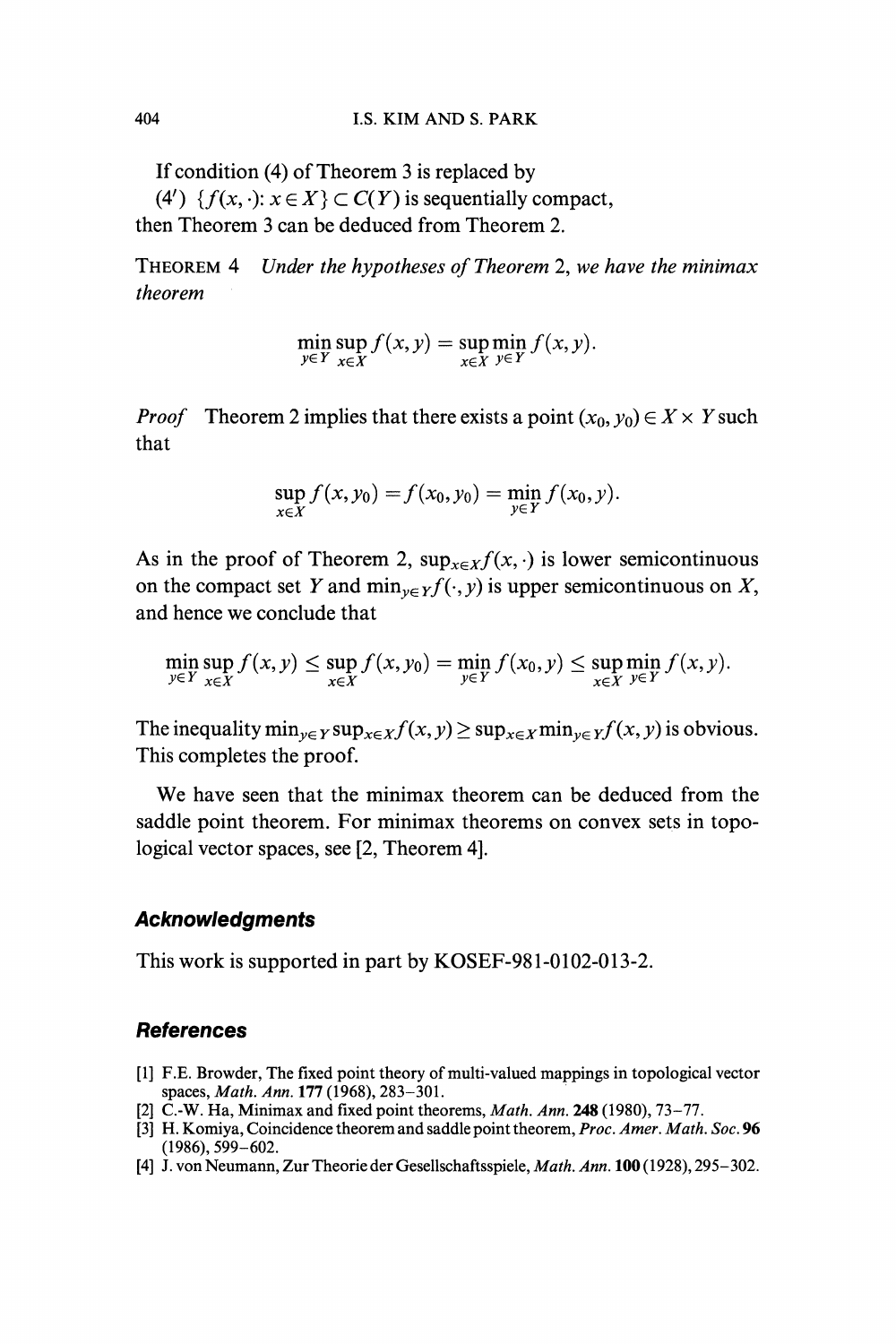If condition (4) of Theorem 3 is replaced by

(4') { $f(x, \cdot): x \in X$ }  $\subset C(Y)$  is sequentially compact,

then Theorem 3 can be deduced from Theorem 2.

THEOREM 4 theorem Under the hypotheses of Theorem 2, we have the minimax

$$
\min_{y \in Y} \sup_{x \in X} f(x, y) = \sup_{x \in X} \min_{y \in Y} f(x, y).
$$

*Proof* Theorem 2 implies that there exists a point  $(x_0, y_0) \in X \times Y$  such that

$$
\sup_{x \in X} f(x, y_0) = f(x_0, y_0) = \min_{y \in Y} f(x_0, y).
$$

As in the proof of Theorem 2,  $\sup_{x \in X} f(x, \cdot)$  is lower semicontinuous on the compact set Y and  $\min_{y \in Y} f(\cdot, y)$  is upper semicontinuous on X, and hence we conclude that

 $\min_{y \in Y} \sup_{x \in X} f(x, y) \leq \sup_{x \in X} f(x, y_0) = \min_{y \in Y} f(x_0, y) \leq \sup_{x \in X} \min_{y \in Y} f(x, y).$ 

The inequality  $\min_{y \in Y} \sup_{x \in X} f(x, y) \ge \sup_{x \in X} \min_{y \in Y} f(x, y)$  is obvious. This completes the proof.

We have seen that the minimax theorem can be deduced from the saddle point theorem. For minimax theorems on convex sets in topological vector spaces, see [2, Theorem 4].

## Acknowledgments

This work is supported in part by KOSEF-981-0102-013-2.

### **References**

- [1] F.E. Browder, The fixed point theory of multi-valued mappings in topological vector spaces, Math. Ann. 177 (1968), 283-301.
- [2] C.-W. Ha, Minimax and fixed point theorems, *Math. Ann.* **248** (1980),  $73-77$ .
- [3] H. Komiya, Coincidence theorem and saddle point theorem, Proc. Amer. Math. Soc. 96 (1986), 599-602.
- [4] J. von Neumann, Zur Theorie der Gesellschaftsspiele, Math. Ann. 100 (1928), 295-302.